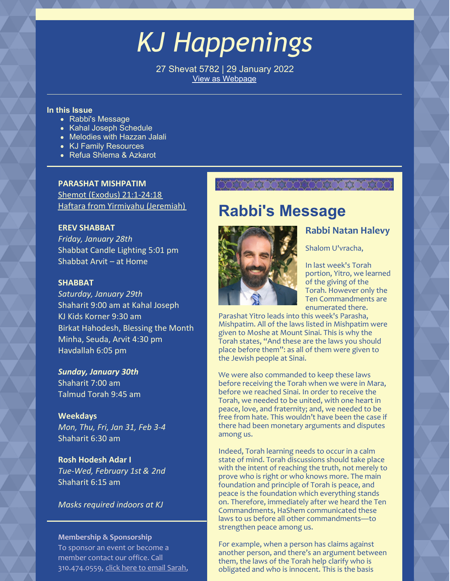# *KJ Happenings*

27 Shevat 5782 | 29 January 2022 View as [Webpage](https://campaignlp.constantcontact.com/em/1101521746827/c7a5d508-1217-4c4c-b7d6-4b90bb5c36d4)

### **In this Issue**

- Rabbi's Message
- Kahal Joseph Schedule
- Melodies with Hazzan Jalali
- KJ Family Resources
- Refua Shlema & Azkarot

### **PARASHAT MISHPATIM**

Shemot (Exodus) [21:1-24:18](https://www.chabad.org/parshah/torahreading.asp?tdate=1/29/2022&p=1) Haftara from Yirmiyahu [\(Jeremiah\)](https://www.chabad.org/parshah/torahreading.asp?tdate=1/29/2022&p=haftarah)

### **EREV SHABBAT**

*Friday, January 28th* Shabbat Candle Lighting 5:01 pm Shabbat Arvit – at Home

### **SHABBAT**

*Saturday, January 29th* Shaharit 9:00 am at Kahal Joseph KJ Kids Korner 9:30 am Birkat Hahodesh, Blessing the Month Minha, Seuda, Arvit 4:30 pm Havdallah 6:05 pm

*Sunday, January 30th* Shaharit 7:00 am Talmud Torah 9:45 am

**Weekdays** *Mon, Thu, Fri, Jan 31, Feb 3-4* Shaharit 6:30 am

**Rosh Hodesh Adar I** *Tue-Wed, February 1st & 2nd* Shaharit 6:15 am

*Masks required indoors at KJ*

### **Membership & Sponsorship**

To sponsor an event or become a member contact our office. Call 310.474.0559, click here to email [Sarah](mailto:sarah_bouchoucha@verizon.net),

## **COUNTY XXXXXXXXXXXXXX**

## **Rabbi's Message**



### **Rabbi Natan Halevy**

Shalom U'vracha,

In last week's Torah portion, Yitro, we learned of the giving of the Torah. However only the Ten Commandments are enumerated there.

Parashat Yitro leads into this week's Parasha, Mishpatim. All of the laws listed in Mishpatim were given to Moshe at Mount Sinai. This is why the Torah states, "And these are the laws you should place before them": as all of them were given to the Jewish people at Sinai.

We were also commanded to keep these laws before receiving the Torah when we were in Mara, before we reached Sinai. In order to receive the Torah, we needed to be united, with one heart in peace, love, and fraternity; and, we needed to be free from hate. This wouldn't have been the case if there had been monetary arguments and disputes among us.

Indeed, Torah learning needs to occur in a calm state of mind. Torah discussions should take place with the intent of reaching the truth, not merely to prove who is right or who knows more. The main foundation and principle of Torah is peace, and peace is the foundation which everything stands on. Therefore, immediately after we heard the Ten Commandments, HaShem communicated these laws to us before all other commandments—to strengthen peace among us.

For example, when a person has claims against another person, and there's an argument between them, the laws of the Torah help clarify who is obligated and who is innocent. This is the basis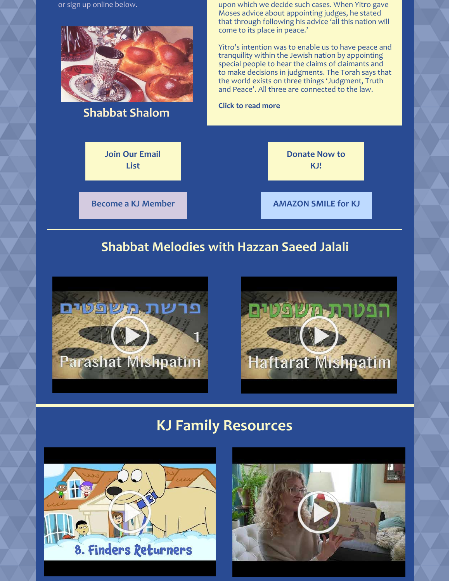or sign up online below.



**Shabbat Shalom**

upon which we decide such cases. When Yitro gave Moses advice about appointing judges, he stated that through following his advice 'all this nation will come to its place in peace.'

Yitro's intention was to enable us to have peace and tranquility within the Jewish nation by appointing special people to hear the claims of claimants and to make decisions in judgments. The Torah says that the world exists on three things 'Judgment, Truth and Peace'. All three are connected to the law.

### **Click to read [more](https://www.kahaljoseph.org/learning/rabbis-message/)**



## **Shabbat Melodies with Hazzan Saeed Jalali**





## **KJ Family Resources**



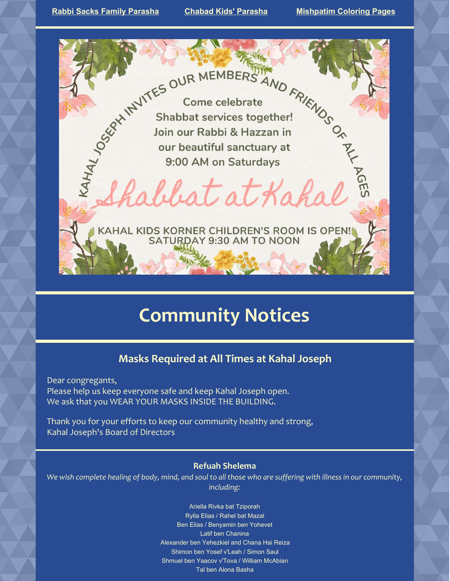RAdulat at Kahal

KAHAL KIDS KORNER CHILDREN'S ROOM IS OPEN!

abbat at Kah

## **Community Notices**

### **Masks Required at All Times at Kahal Joseph**

Dear congregants, Please help us keep everyone safe and keep Kahal Joseph open. We ask that you WEAR YOUR MASKS INSIDE THE BUILDING.

Thank you for your efforts to keep our community healthy and strong, Kahal Joseph's Board of Directors

### **Refuah Shelema**

We wish complete healing of body, mind, and soul to all those who are suffering with illness in our community, *including:*

> Ariella Rivka bat Tziporah Rylla Elias / Rahel bat Mazal Ben Elias / Benyamin ben Yohevet Latif ben Chanina Alexander ben Yehezkiel and Chana Hai Reiza Shimon ben Yosef v'Leah / Simon Saul Shmuel ben Yaacov v'Tova / William McAbian Tal ben Alona Basha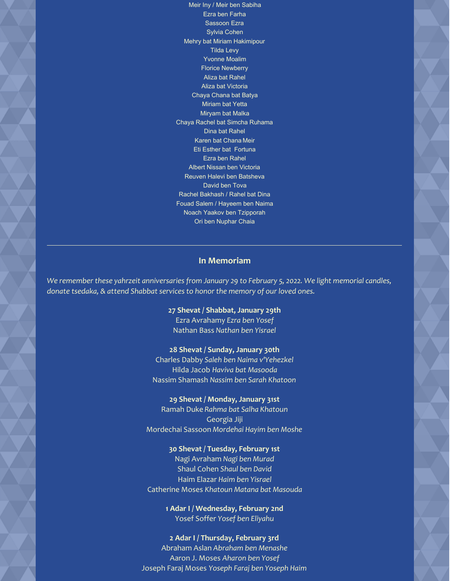Ezra ben Farha Sassoon Ezra Sylvia Cohen Mehry bat Miriam Hakimipour Tilda Levy Yvonne Moalim Florice Newberry Aliza bat Rahel Aliza bat Victoria Chaya Chana bat Batya Miriam bat Yetta Miryam bat Malka Chaya Rachel bat Simcha Ruhama Dina bat Rahel Karen bat Chana Meir Eti Esther bat Fortuna Ezra ben Rahel Albert Nissan ben Victoria Reuven Halevi ben Batsheva David ben Tova Rachel Bakhash / Rahel bat Dina Fouad Salem / Hayeem ben Naima Noach Yaakov ben Tzipporah Ori ben Nuphar Chaia

Meir Iny / Meir ben Sabiha

### **In Memoriam**

*We remember these yahrzeit anniversaries from January 29 to February 5, 2022. We light memorial candles, donate tsedaka, & attend Shabbat services to honor the memory of our loved ones.*

> **27 Shevat / Shabbat, January 29th** Ezra Avrahamy *Ezra ben Yosef* Nathan Bass *Nathan ben Yisrael*

### **28 Shevat / Sunday, January 30th**

Charles Dabby *Saleh ben Naima v'Yehezkel* Hilda Jacob *Haviva bat Masooda* Nassim Shamash *Nassim ben Sarah Khatoon*

### **29 Shevat / Monday, January 31st**

Ramah Duke *Rahma bat Salha Khatoun* Georgia Jiji Mordechai Sassoon *Mordehai Hayim ben Moshe*

#### **30 Shevat / Tuesday, February 1st**

Nagi Avraham *Nagi ben Murad* Shaul Cohen *Shaul ben David* Haim Elazar *Haim ben Yisrael* Catherine Moses *Khatoun Matana bat Masouda*

> **1 Adar I / Wednesday, February 2nd** Yosef Soffer *Yosef ben Eliyahu*

### **2 Adar I / Thursday, February 3rd** Abraham Aslan *Abraham ben Menashe* Aaron J. Moses *Aharon ben Yosef* Joseph Faraj Moses *Yoseph Faraj ben Yoseph Haim*